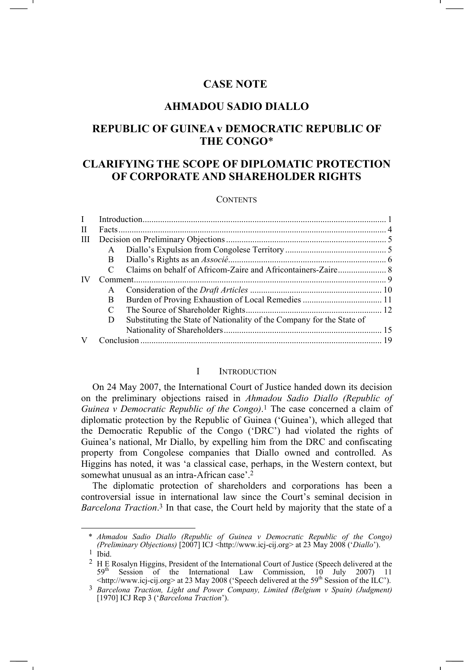# **CASE NOTE**

# **AHMADOU SADIO DIALLO**

# **REPUBLIC OF GUINEA v DEMOCRATIC REPUBLIC OF THE CONGO**\*

# **CLARIFYING THE SCOPE OF DIPLOMATIC PROTECTION OF CORPORATE AND SHAREHOLDER RIGHTS**

#### **CONTENTS**

| T |              |                                                                       |  |
|---|--------------|-----------------------------------------------------------------------|--|
| H |              |                                                                       |  |
| Ш |              |                                                                       |  |
|   | $\mathsf{A}$ |                                                                       |  |
|   | B.           |                                                                       |  |
|   |              |                                                                       |  |
|   | Comment.     |                                                                       |  |
|   | A            |                                                                       |  |
|   | B            |                                                                       |  |
|   | C            |                                                                       |  |
|   | D            | Substituting the State of Nationality of the Company for the State of |  |
|   |              |                                                                       |  |
|   |              |                                                                       |  |

#### I INTRODUCTION

On 24 May 2007, the International Court of Justice handed down its decision on the preliminary objections raised in *Ahmadou Sadio Diallo (Republic of Guinea v Democratic Republic of the Congo)*.1 The case concerned a claim of diplomatic protection by the Republic of Guinea ('Guinea'), which alleged that the Democratic Republic of the Congo ('DRC') had violated the rights of Guinea's national, Mr Diallo, by expelling him from the DRC and confiscating property from Congolese companies that Diallo owned and controlled. As Higgins has noted, it was 'a classical case, perhaps, in the Western context, but somewhat unusual as an intra-African case'.2

The diplomatic protection of shareholders and corporations has been a controversial issue in international law since the Court's seminal decision in *Barcelona Traction*. 3 In that case, the Court held by majority that the state of a

 <sup>\*</sup> *Ahmadou Sadio Diallo (Republic of Guinea v Democratic Republic of the Congo) (Preliminary Objections)* [2007] ICJ <http://www.icj-cij.org> at 23 May 2008 ('*Diallo*').

 $1$  Ibid.

<sup>2</sup> H E Rosalyn Higgins, President of the International Court of Justice (Speech delivered at the 59<sup>th</sup> Session of the International Law Commission, 10 July 2007) 11  $\langle$ http://www.icj-cij.org> at 23 May 2008 ('Speech delivered at the 59<sup>th</sup> Session of the ILC').

<sup>3</sup> *Barcelona Traction, Light and Power Company, Limited (Belgium v Spain) (Judgment)* [1970] ICJ Rep 3 ('*Barcelona Traction*').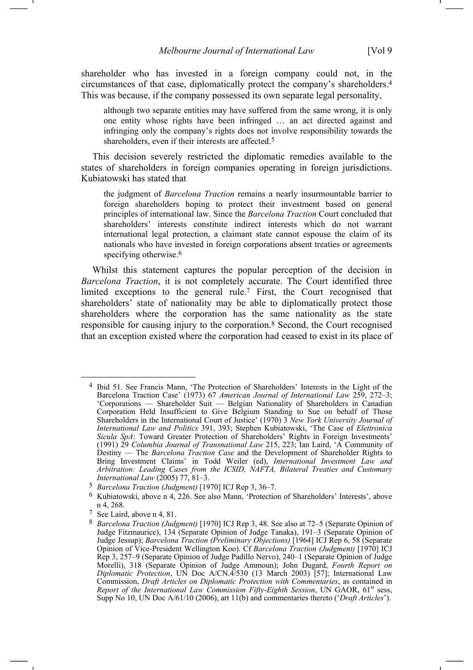shareholder who has invested in a foreign company could not, in the circumstances of that case, diplomatically protect the company's shareholders.4 This was because, if the company possessed its own separate legal personality,

although two separate entities may have suffered from the same wrong, it is only one entity whose rights have been infringed … an act directed against and infringing only the company's rights does not involve responsibility towards the shareholders, even if their interests are affected.<sup>5</sup>

This decision severely restricted the diplomatic remedies available to the states of shareholders in foreign companies operating in foreign jurisdictions. Kubiatowski has stated that

the judgment of *Barcelona Traction* remains a nearly insurmountable barrier to foreign shareholders hoping to protect their investment based on general principles of international law. Since the *Barcelona Traction* Court concluded that shareholders' interests constitute indirect interests which do not warrant international legal protection, a claimant state cannot espouse the claim of its nationals who have invested in foreign corporations absent treaties or agreements specifying otherwise.<sup>6</sup>

Whilst this statement captures the popular perception of the decision in *Barcelona Traction*, it is not completely accurate. The Court identified three limited exceptions to the general rule.7 First, the Court recognised that shareholders' state of nationality may be able to diplomatically protect those shareholders where the corporation has the same nationality as the state responsible for causing injury to the corporation.8 Second, the Court recognised that an exception existed where the corporation had ceased to exist in its place of

 <sup>4</sup> Ibid 51. See Francis Mann, 'The Protection of Shareholders' Interests in the Light of the Barcelona Traction Case' (1973) 67 *American Journal of International Law* 259, 272–3; 'Corporations — Shareholder Suit — Belgian Nationality of Shareholders in Canadian Corporation Held Insufficient to Give Belgium Standing to Sue on behalf of Those Shareholders in the International Court of Justice' (1970) 3 *New York University Journal of International Law and Politics* 391, 393; Stephen Kubiatowski, 'The Case of *Elettronica Sicula SpA*: Toward Greater Protection of Shareholders' Rights in Foreign Investments' (1991) 29 *Columbia Journal of Transnational Law* 215, 223; Ian Laird, 'A Community of Destiny — The *Barcelona Traction Case* and the Development of Shareholder Rights to Bring Investment Claims' in Todd Weiler (ed), *International Investment Law and Arbitration: Leading Cases from the ICSID, NAFTA, Bilateral Treaties and Customary International Law* (2005) 77, 81–3.

<sup>5</sup> *Barcelona Traction (Judgment)* [1970] ICJ Rep 3, 36–7.

<sup>6</sup> Kubiatowski, above n 4, 226. See also Mann, 'Protection of Shareholders' Interests', above n 4, 268.

<sup>7</sup> See Laird, above n 4, 81.

<sup>8</sup> *Barcelona Traction (Judgment)* [1970] ICJ Rep 3, 48. See also at 72–5 (Separate Opinion of Judge Fitzmaurice), 134 (Separate Opinion of Judge Tanaka), 191–3 (Separate Opinion of Judge Jessup); *Barcelona Traction (Preliminary Objections)* [1964] ICJ Rep 6, 58 (Separate Opinion of Vice-President Wellington Koo). Cf *Barcelona Traction (Judgment)* [1970] ICJ Rep 3, 257–9 (Separate Opinion of Judge Padillo Nervo), 240–1 (Separate Opinion of Judge Morelli), 318 (Separate Opinion of Judge Ammoun); John Dugard, *Fourth Report on Diplomatic Protection*, UN Doc A/CN.4/530 (13 March 2003) [57]; International Law Commission, *Draft Articles on Diplomatic Protection with Commentaries*, as contained in *Report of the International Law Commission Fifty-Eighth Session*, UN GAOR, 61<sup>st</sup> sess, Supp No 10, UN Doc A/61/10 (2006), art 11(b) and commentaries thereto ('*Draft Articles*').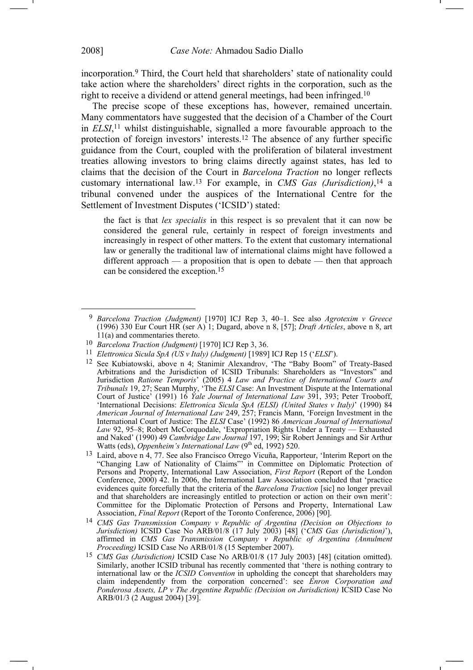incorporation.9 Third, the Court held that shareholders' state of nationality could take action where the shareholders' direct rights in the corporation, such as the right to receive a dividend or attend general meetings, had been infringed.10

The precise scope of these exceptions has, however, remained uncertain. Many commentators have suggested that the decision of a Chamber of the Court in *ELSI*, 11 whilst distinguishable, signalled a more favourable approach to the protection of foreign investors' interests.12 The absence of any further specific guidance from the Court, coupled with the proliferation of bilateral investment treaties allowing investors to bring claims directly against states, has led to claims that the decision of the Court in *Barcelona Traction* no longer reflects customary international law.13 For example, in *CMS Gas (Jurisdiction)*, 14 a tribunal convened under the auspices of the International Centre for the Settlement of Investment Disputes ('ICSID') stated:

the fact is that *lex specialis* in this respect is so prevalent that it can now be considered the general rule, certainly in respect of foreign investments and increasingly in respect of other matters. To the extent that customary international law or generally the traditional law of international claims might have followed a different approach — a proposition that is open to debate — then that approach can be considered the exception.15

- 11 *Elettronica Sicula SpA (US v Italy) (Judgment)* [1989] ICJ Rep 15 ('*ELSI*').
- 12 See Kubiatowski, above n 4; Stanimir Alexandrov, 'The "Baby Boom" of Treaty-Based Arbitrations and the Jurisdiction of ICSID Tribunals: Shareholders as "Investors" and Jurisdiction *Ratione Temporis*' (2005) 4 *Law and Practice of International Courts and Tribunals* 19, 27; Sean Murphy, 'The *ELSI* Case: An Investment Dispute at the International Court of Justice' (1991) 16 *Yale Journal of International Law* 391, 393; Peter Trooboff, 'International Decisions: *Elettronica Sicula SpA (ELSI) (United States v Italy)*' (1990) 84 *American Journal of International Law* 249, 257; Francis Mann, 'Foreign Investment in the International Court of Justice: The *ELSI* Case' (1992) 86 *American Journal of International Law* 92, 95–8; Robert McCorquodale, 'Expropriation Rights Under a Treaty — Exhausted and Naked' (1990) 49 *Cambridge Law Journal* 197, 199; Sir Robert Jennings and Sir Arthur Watts (eds), *Oppenheim's International Law* (9<sup>th</sup> ed, 1992) 520.
- 13 Laird, above n 4, 77. See also Francisco Orrego Vicuña, Rapporteur, 'Interim Report on the "Changing Law of Nationality of Claims"' in Committee on Diplomatic Protection of Persons and Property, International Law Association, *First Report* (Report of the London Conference, 2000) 42. In 2006, the International Law Association concluded that 'practice evidences quite forcefully that the criteria of the *Barcelona Traction* [sic] no longer prevail and that shareholders are increasingly entitled to protection or action on their own merit': Committee for the Diplomatic Protection of Persons and Property, International Law Association, *Final Report* (Report of the Toronto Conference, 2006) [90].
- 14 *CMS Gas Transmission Company v Republic of Argentina (Decision on Objections to Jurisdiction)* ICSID Case No ARB/01/8 (17 July 2003) [48] ('*CMS Gas (Jurisdiction)*'), affirmed in *CMS Gas Transmission Company v Republic of Argentina (Annulment Proceeding*) ICSID Case No ARB/01/8 (15 September 2007).
- 15 *CMS Gas (Jurisdiction)* ICSID Case No ARB/01/8 (17 July 2003) [48] (citation omitted). Similarly, another ICSID tribunal has recently commented that 'there is nothing contrary to international law or the *ICSID Convention* in upholding the concept that shareholders may claim independently from the corporation concerned': see *Enron Corporation and Ponderosa Assets, LP v The Argentine Republic (Decision on Jurisdiction)* ICSID Case No ARB/01/3 (2 August 2004) [39].

 <sup>9</sup> *Barcelona Traction (Judgment)* [1970] ICJ Rep 3, 40–1. See also *Agrotexim v Greece* (1996) 330 Eur Court HR (ser A) 1; Dugard, above n 8, [57]; *Draft Articles*, above n 8, art 11(a) and commentaries thereto.

<sup>10</sup> *Barcelona Traction (Judgment)* [1970] ICJ Rep 3, 36.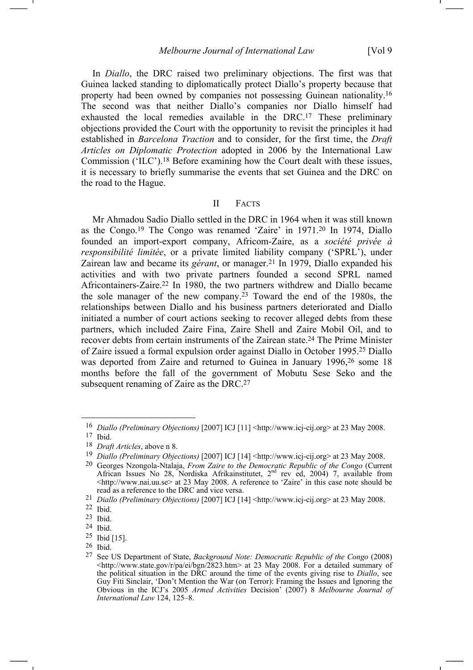In *Diallo*, the DRC raised two preliminary objections. The first was that Guinea lacked standing to diplomatically protect Diallo's property because that property had been owned by companies not possessing Guinean nationality.16 The second was that neither Diallo's companies nor Diallo himself had exhausted the local remedies available in the DRC.17 These preliminary objections provided the Court with the opportunity to revisit the principles it had established in *Barcelona Traction* and to consider, for the first time, the *Draft Articles on Diplomatic Protection* adopted in 2006 by the International Law Commission ('ILC').18 Before examining how the Court dealt with these issues, it is necessary to briefly summarise the events that set Guinea and the DRC on the road to the Hague.

#### II FACTS

Mr Ahmadou Sadio Diallo settled in the DRC in 1964 when it was still known as the Congo.19 The Congo was renamed 'Zaire' in 1971.20 In 1974, Diallo founded an import-export company, Africom-Zaire, as a *société privée à responsibilité limitée*, or a private limited liability company ('SPRL'), under Zairean law and became its *gérant*, or manager.<sup>21</sup> In 1979, Diallo expanded his activities and with two private partners founded a second SPRL named Africontainers-Zaire.22 In 1980, the two partners withdrew and Diallo became the sole manager of the new company.<sup>23</sup> Toward the end of the 1980s, the relationships between Diallo and his business partners deteriorated and Diallo initiated a number of court actions seeking to recover alleged debts from these partners, which included Zaire Fina, Zaire Shell and Zaire Mobil Oil, and to recover debts from certain instruments of the Zairean state.24 The Prime Minister of Zaire issued a formal expulsion order against Diallo in October 1995.25 Diallo was deported from Zaire and returned to Guinea in January 1996, 26 some 18 months before the fall of the government of Mobutu Sese Seko and the subsequent renaming of Zaire as the DRC.<sup>27</sup>

<sup>16</sup> *Diallo (Preliminary Objections)* [2007] ICJ [11] <http://www.icj-cij.org> at 23 May 2008.

<sup>17</sup> Ibid.

<sup>18</sup> *Draft Articles*, above n 8.

<sup>19</sup> *Diallo (Preliminary Objections)* [2007] ICJ [14] <http://www.icj-cij.org> at 23 May 2008.

<sup>20</sup> Georges Nzongola-Ntalaja, *From Zaire to the Democratic Republic of the Congo* (Current African Issues No 28, Nordiska Afrikainstitutet, 2nd rev ed, 2004) 7, available from  $\langle$ http://www.nai.uu.se $>$  at 23 May 2008. A reference to 'Zaire' in this case note should be read as a reference to the DRC and vice versa.

<sup>21</sup> *Diallo (Preliminary Objections)* [2007] ICJ [14] <http://www.icj-cij.org> at 23 May 2008.

<sup>22</sup> Ibid.

<sup>23</sup> Ibid.

<sup>24</sup> Ibid.

<sup>25</sup> Ibid [15].

<sup>26</sup> Ibid.

<sup>27</sup> See US Department of State, *Background Note: Democratic Republic of the Congo* (2008) <http://www.state.gov/r/pa/ei/bgn/2823.htm> at 23 May 2008. For a detailed summary of the political situation in the DRC around the time of the events giving rise to *Diallo*, see Guy Fiti Sinclair, 'Don't Mention the War (on Terror): Framing the Issues and Ignoring the Obvious in the ICJ's 2005 *Armed Activities* Decision' (2007) 8 *Melbourne Journal of International Law* 124, 125–8.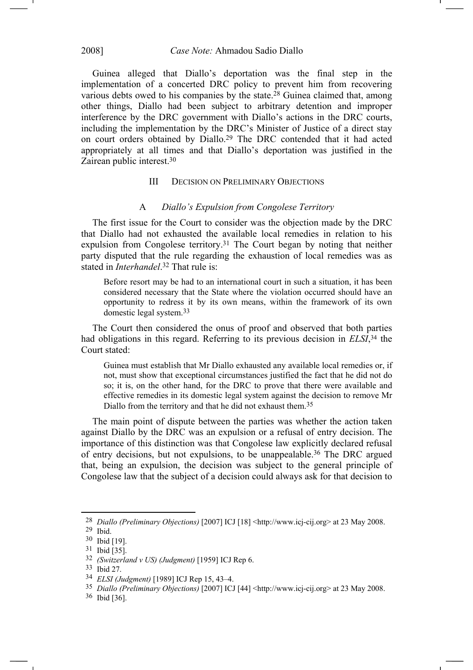## 2008] *Case Note:* Ahmadou Sadio Diallo

Guinea alleged that Diallo's deportation was the final step in the implementation of a concerted DRC policy to prevent him from recovering various debts owed to his companies by the state.28 Guinea claimed that, among other things, Diallo had been subject to arbitrary detention and improper interference by the DRC government with Diallo's actions in the DRC courts, including the implementation by the DRC's Minister of Justice of a direct stay on court orders obtained by Diallo.29 The DRC contended that it had acted appropriately at all times and that Diallo's deportation was justified in the Zairean public interest.30

### III DECISION ON PRELIMINARY OBJECTIONS

#### A *Diallo's Expulsion from Congolese Territory*

The first issue for the Court to consider was the objection made by the DRC that Diallo had not exhausted the available local remedies in relation to his expulsion from Congolese territory.31 The Court began by noting that neither party disputed that the rule regarding the exhaustion of local remedies was as stated in *Interhandel*. 32 That rule is:

Before resort may be had to an international court in such a situation, it has been considered necessary that the State where the violation occurred should have an opportunity to redress it by its own means, within the framework of its own domestic legal system.33

The Court then considered the onus of proof and observed that both parties had obligations in this regard. Referring to its previous decision in *ELSI*,34 the Court stated:

Guinea must establish that Mr Diallo exhausted any available local remedies or, if not, must show that exceptional circumstances justified the fact that he did not do so; it is, on the other hand, for the DRC to prove that there were available and effective remedies in its domestic legal system against the decision to remove Mr Diallo from the territory and that he did not exhaust them.<sup>35</sup>

The main point of dispute between the parties was whether the action taken against Diallo by the DRC was an expulsion or a refusal of entry decision. The importance of this distinction was that Congolese law explicitly declared refusal of entry decisions, but not expulsions, to be unappealable.36 The DRC argued that, being an expulsion, the decision was subject to the general principle of Congolese law that the subject of a decision could always ask for that decision to

<sup>28</sup> *Diallo (Preliminary Objections)* [2007] ICJ [18] <http://www.icj-cij.org> at 23 May 2008.

<sup>29</sup> Ibid.

<sup>30</sup> Ibid [19].

<sup>31</sup> Ibid [35].

<sup>32</sup> *(Switzerland v US) (Judgment)* [1959] ICJ Rep 6.

<sup>33</sup> Ibid 27.

<sup>34</sup> *ELSI (Judgment)* [1989] ICJ Rep 15, 43–4.

<sup>35</sup> *Diallo (Preliminary Objections)* [2007] ICJ [44] <http://www.icj-cij.org> at 23 May 2008.

<sup>36</sup> Ibid [36].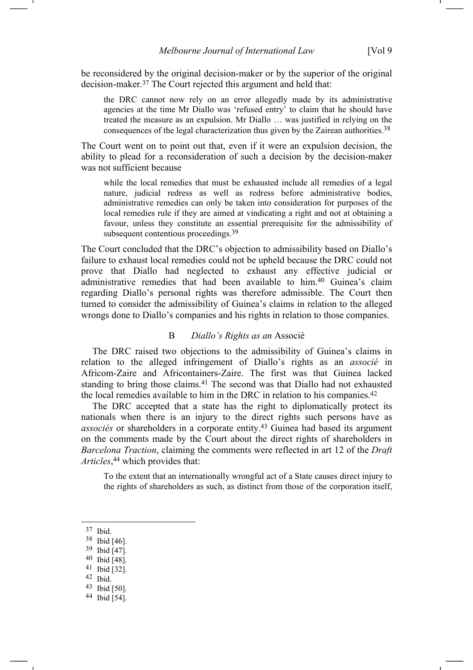be reconsidered by the original decision-maker or by the superior of the original decision-maker.37 The Court rejected this argument and held that:

the DRC cannot now rely on an error allegedly made by its administrative agencies at the time Mr Diallo was 'refused entry' to claim that he should have treated the measure as an expulsion. Mr Diallo … was justified in relying on the consequences of the legal characterization thus given by the Zairean authorities.38

The Court went on to point out that, even if it were an expulsion decision, the ability to plead for a reconsideration of such a decision by the decision-maker was not sufficient because

while the local remedies that must be exhausted include all remedies of a legal nature, judicial redress as well as redress before administrative bodies, administrative remedies can only be taken into consideration for purposes of the local remedies rule if they are aimed at vindicating a right and not at obtaining a favour, unless they constitute an essential prerequisite for the admissibility of subsequent contentious proceedings.<sup>39</sup>

The Court concluded that the DRC's objection to admissibility based on Diallo's failure to exhaust local remedies could not be upheld because the DRC could not prove that Diallo had neglected to exhaust any effective judicial or administrative remedies that had been available to him.40 Guinea's claim regarding Diallo's personal rights was therefore admissible. The Court then turned to consider the admissibility of Guinea's claims in relation to the alleged wrongs done to Diallo's companies and his rights in relation to those companies.

## B *Diallo's Rights as an* Associé

The DRC raised two objections to the admissibility of Guinea's claims in relation to the alleged infringement of Diallo's rights as an *associé* in Africom-Zaire and Africontainers-Zaire. The first was that Guinea lacked standing to bring those claims.<sup>41</sup> The second was that Diallo had not exhausted the local remedies available to him in the DRC in relation to his companies.42

The DRC accepted that a state has the right to diplomatically protect its nationals when there is an injury to the direct rights such persons have as *associés* or shareholders in a corporate entity.43 Guinea had based its argument on the comments made by the Court about the direct rights of shareholders in *Barcelona Traction*, claiming the comments were reflected in art 12 of the *Draft Articles*, 44 which provides that:

To the extent that an internationally wrongful act of a State causes direct injury to the rights of shareholders as such, as distinct from those of the corporation itself,

37 Ibid.

 $\overline{a}$ 

42 Ibid.

<sup>38</sup> Ibid [46].

<sup>39</sup> Ibid [47].

<sup>40</sup> Ibid [48].

<sup>41</sup> Ibid [32].

<sup>43</sup> Ibid [50].

<sup>44</sup> Ibid [54].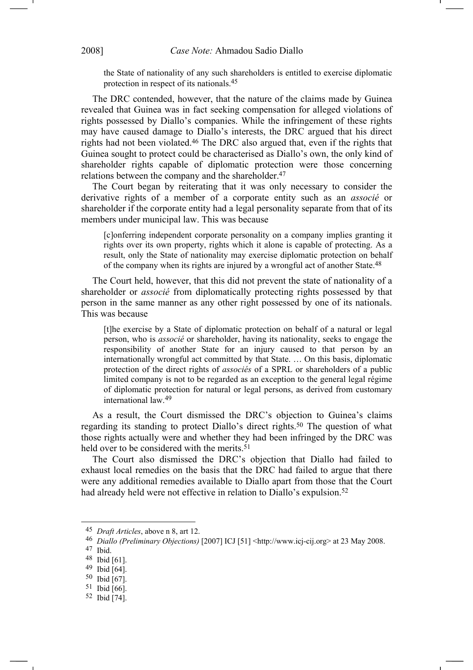the State of nationality of any such shareholders is entitled to exercise diplomatic protection in respect of its nationals.45

The DRC contended, however, that the nature of the claims made by Guinea revealed that Guinea was in fact seeking compensation for alleged violations of rights possessed by Diallo's companies. While the infringement of these rights may have caused damage to Diallo's interests, the DRC argued that his direct rights had not been violated.46 The DRC also argued that, even if the rights that Guinea sought to protect could be characterised as Diallo's own, the only kind of shareholder rights capable of diplomatic protection were those concerning relations between the company and the shareholder.47

The Court began by reiterating that it was only necessary to consider the derivative rights of a member of a corporate entity such as an *associé* or shareholder if the corporate entity had a legal personality separate from that of its members under municipal law. This was because

[c]onferring independent corporate personality on a company implies granting it rights over its own property, rights which it alone is capable of protecting. As a result, only the State of nationality may exercise diplomatic protection on behalf of the company when its rights are injured by a wrongful act of another State.<sup>48</sup>

The Court held, however, that this did not prevent the state of nationality of a shareholder or *associé* from diplomatically protecting rights possessed by that person in the same manner as any other right possessed by one of its nationals. This was because

[t]he exercise by a State of diplomatic protection on behalf of a natural or legal person, who is *associé* or shareholder, having its nationality, seeks to engage the responsibility of another State for an injury caused to that person by an internationally wrongful act committed by that State. … On this basis, diplomatic protection of the direct rights of *associés* of a SPRL or shareholders of a public limited company is not to be regarded as an exception to the general legal régime of diplomatic protection for natural or legal persons, as derived from customary international law.49

As a result, the Court dismissed the DRC's objection to Guinea's claims regarding its standing to protect Diallo's direct rights.50 The question of what those rights actually were and whether they had been infringed by the DRC was held over to be considered with the merits.<sup>51</sup>

The Court also dismissed the DRC's objection that Diallo had failed to exhaust local remedies on the basis that the DRC had failed to argue that there were any additional remedies available to Diallo apart from those that the Court had already held were not effective in relation to Diallo's expulsion.<sup>52</sup>

<sup>45</sup> *Draft Articles*, above n 8, art 12.

<sup>46</sup> *Diallo (Preliminary Objections)* [2007] ICJ [51] <http://www.icj-cij.org> at 23 May 2008.

<sup>47</sup> Ibid.

<sup>48</sup> Ibid [61].

<sup>49</sup> Ibid [64].

<sup>50</sup> Ibid [67].

<sup>51</sup> Ibid [66].

<sup>52</sup> Ibid [74].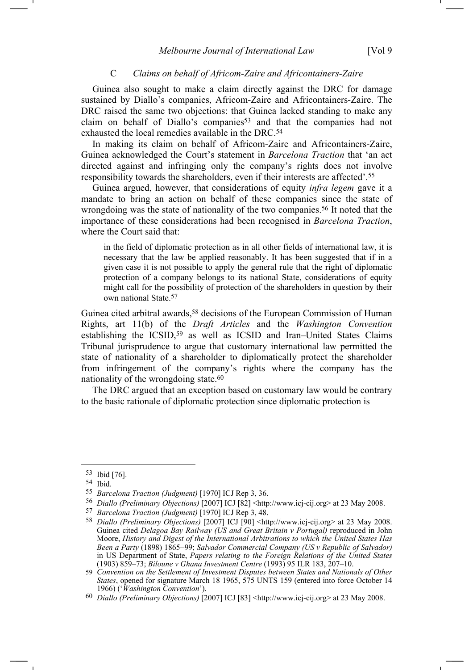#### C *Claims on behalf of Africom-Zaire and Africontainers-Zaire*

Guinea also sought to make a claim directly against the DRC for damage sustained by Diallo's companies, Africom-Zaire and Africontainers-Zaire. The DRC raised the same two objections: that Guinea lacked standing to make any claim on behalf of Diallo's companies<sup>53</sup> and that the companies had not exhausted the local remedies available in the DRC.54

In making its claim on behalf of Africom-Zaire and Africontainers-Zaire, Guinea acknowledged the Court's statement in *Barcelona Traction* that 'an act directed against and infringing only the company's rights does not involve responsibility towards the shareholders, even if their interests are affected'.55

Guinea argued, however, that considerations of equity *infra legem* gave it a mandate to bring an action on behalf of these companies since the state of wrongdoing was the state of nationality of the two companies.<sup>56</sup> It noted that the importance of these considerations had been recognised in *Barcelona Traction*, where the Court said that:

in the field of diplomatic protection as in all other fields of international law, it is necessary that the law be applied reasonably. It has been suggested that if in a given case it is not possible to apply the general rule that the right of diplomatic protection of a company belongs to its national State, considerations of equity might call for the possibility of protection of the shareholders in question by their own national State.57

Guinea cited arbitral awards,<sup>58</sup> decisions of the European Commission of Human Rights, art 11(b) of the *Draft Articles* and the *Washington Convention* establishing the ICSID,59 as well as ICSID and Iran–United States Claims Tribunal jurisprudence to argue that customary international law permitted the state of nationality of a shareholder to diplomatically protect the shareholder from infringement of the company's rights where the company has the nationality of the wrongdoing state.<sup>60</sup>

The DRC argued that an exception based on customary law would be contrary to the basic rationale of diplomatic protection since diplomatic protection is

<sup>53</sup> Ibid [76].

<sup>54</sup> Ibid.

<sup>55</sup> *Barcelona Traction (Judgment)* [1970] ICJ Rep 3, 36.

<sup>56</sup> *Diallo (Preliminary Objections)* [2007] ICJ [82] <http://www.icj-cij.org> at 23 May 2008.

<sup>57</sup> *Barcelona Traction (Judgment)* [1970] ICJ Rep 3, 48.

<sup>58</sup> *Diallo (Preliminary Objections)* [2007] ICJ [90] <http://www.icj-cij.org> at 23 May 2008. Guinea cited *Delagoa Bay Railway (US and Great Britain v Portugal)* reproduced in John Moore, *History and Digest of the International Arbitrations to which the United States Has Been a Party* (1898) 1865−99; *Salvador Commercial Company (US v Republic of Salvador)* in US Department of State, *Papers relating to the Foreign Relations of the United States*  (1903) 859–73; *Biloune v Ghana Investment Centre* (1993) 95 ILR 183, 207–10.

<sup>59</sup> *Convention on the Settlement of Investment Disputes between States and Nationals of Other States*, opened for signature March 18 1965, 575 UNTS 159 (entered into force October 14 1966) ('*Washington Convention*').

<sup>60</sup> *Diallo (Preliminary Objections)* [2007] ICJ [83] <http://www.icj-cij.org> at 23 May 2008.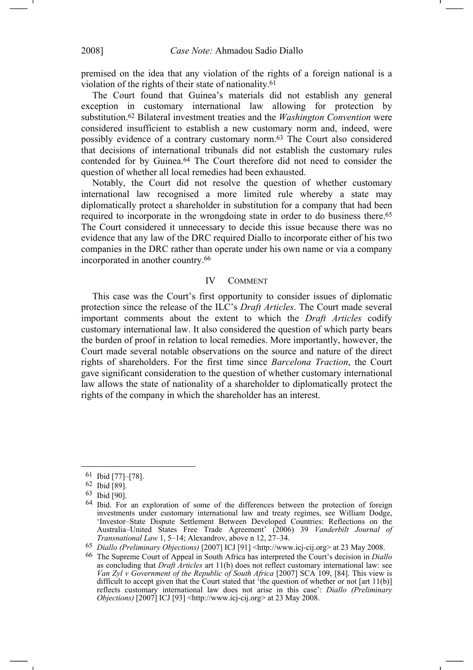premised on the idea that any violation of the rights of a foreign national is a violation of the rights of their state of nationality.61

The Court found that Guinea's materials did not establish any general exception in customary international law allowing for protection by substitution.62 Bilateral investment treaties and the *Washington Convention* were considered insufficient to establish a new customary norm and, indeed, were possibly evidence of a contrary customary norm.63 The Court also considered that decisions of international tribunals did not establish the customary rules contended for by Guinea.64 The Court therefore did not need to consider the question of whether all local remedies had been exhausted.

Notably, the Court did not resolve the question of whether customary international law recognised a more limited rule whereby a state may diplomatically protect a shareholder in substitution for a company that had been required to incorporate in the wrongdoing state in order to do business there.65 The Court considered it unnecessary to decide this issue because there was no evidence that any law of the DRC required Diallo to incorporate either of his two companies in the DRC rather than operate under his own name or via a company incorporated in another country.66

#### IV COMMENT

This case was the Court's first opportunity to consider issues of diplomatic protection since the release of the ILC's *Draft Articles*. The Court made several important comments about the extent to which the *Draft Articles* codify customary international law. It also considered the question of which party bears the burden of proof in relation to local remedies. More importantly, however, the Court made several notable observations on the source and nature of the direct rights of shareholders. For the first time since *Barcelona Traction*, the Court gave significant consideration to the question of whether customary international law allows the state of nationality of a shareholder to diplomatically protect the rights of the company in which the shareholder has an interest.

<sup>61</sup> Ibid [77]*–*[78].

<sup>62</sup> Ibid [89].

<sup>63</sup> Ibid [90].

<sup>64</sup> Ibid. For an exploration of some of the differences between the protection of foreign investments under customary international law and treaty regimes, see William Dodge, 'Investor–State Dispute Settlement Between Developed Countries: Reflections on the Australia–United States Free Trade Agreement' (2006) 39 *Vanderbilt Journal of Transnational Law* 1, 5–14; Alexandrov, above n 12, 27–34.

<sup>65</sup> *Diallo (Preliminary Objections)* [2007] ICJ [91] <http://www.icj-cij.org> at 23 May 2008.

<sup>66</sup> The Supreme Court of Appeal in South Africa has interpreted the Court's decision in *Diallo* as concluding that *Draft Articles* art 11(b) does not reflect customary international law: see *Van Zyl v Government of the Republic of South Africa* [2007] SCA 109, [84]. This view is difficult to accept given that the Court stated that 'the question of whether or not [art 11(b)] reflects customary international law does not arise in this case': *Diallo (Preliminary Objections*) [2007] ICJ [93] <http://www.icj-cij.org> at 23 May 2008.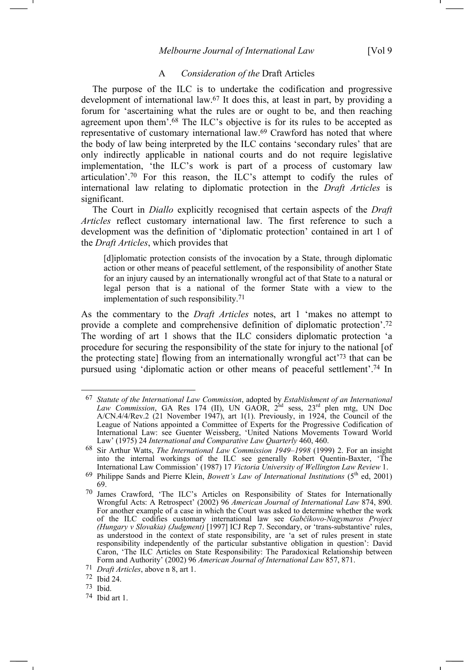#### A *Consideration of the* Draft Articles

The purpose of the ILC is to undertake the codification and progressive development of international law.67 It does this, at least in part, by providing a forum for 'ascertaining what the rules are or ought to be, and then reaching agreement upon them'.68 The ILC's objective is for its rules to be accepted as representative of customary international law.69 Crawford has noted that where the body of law being interpreted by the ILC contains 'secondary rules' that are only indirectly applicable in national courts and do not require legislative implementation, 'the ILC's work is part of a process of customary law articulation'.70 For this reason, the ILC's attempt to codify the rules of international law relating to diplomatic protection in the *Draft Articles* is significant.

The Court in *Diallo* explicitly recognised that certain aspects of the *Draft Articles* reflect customary international law. The first reference to such a development was the definition of 'diplomatic protection' contained in art 1 of the *Draft Articles*, which provides that

[d]iplomatic protection consists of the invocation by a State, through diplomatic action or other means of peaceful settlement, of the responsibility of another State for an injury caused by an internationally wrongful act of that State to a natural or legal person that is a national of the former State with a view to the implementation of such responsibility.71

As the commentary to the *Draft Articles* notes, art 1 'makes no attempt to provide a complete and comprehensive definition of diplomatic protection'.72 The wording of art 1 shows that the ILC considers diplomatic protection 'a procedure for securing the responsibility of the state for injury to the national [of the protecting state] flowing from an internationally wrongful act'73 that can be pursued using 'diplomatic action or other means of peaceful settlement'.74 In

72 Ibid 24.

73 Ibid.

<sup>67</sup> *Statute of the International Law Commission*, adopted by *Establishment of an International*  Law Commission, GA Res 174 (II), UN GAOR, 2<sup>nd</sup> sess, 23<sup>rd</sup> plen mtg, UN Doc A/CN.4/4/Rev.2 (21 November 1947), art 1(1). Previously, in 1924, the Council of the League of Nations appointed a Committee of Experts for the Progressive Codification of International Law: see Guenter Weissberg, 'United Nations Movements Toward World Law' (1975) 24 *International and Comparative Law Quarterly* 460, 460.

<sup>68</sup> Sir Arthur Watts, *The International Law Commission 1949–1998* (1999) 2. For an insight into the internal workings of the ILC see generally Robert Quentin-Baxter, 'The International Law Commission' (1987) 17 *Victoria University of Wellington Law Review* 1.

<sup>&</sup>lt;sup>69</sup> Philippe Sands and Pierre Klein, *Bowett's Law of International Institutions* (5<sup>th</sup> ed, 2001) 69.

<sup>70</sup> James Crawford, 'The ILC's Articles on Responsibility of States for Internationally Wrongful Acts: A Retrospect' (2002) 96 *American Journal of International Law* 874, 890. For another example of a case in which the Court was asked to determine whether the work of the ILC codifies customary international law see *Gabčíkovo-Nagymaros Project (Hungary v Slovakia) (Judgment)* [1997] ICJ Rep 7. Secondary, or 'trans-substantive' rules, as understood in the context of state responsibility, are 'a set of rules present in state responsibility independently of the particular substantive obligation in question': David Caron, 'The ILC Articles on State Responsibility: The Paradoxical Relationship between Form and Authority' (2002) 96 *American Journal of International Law* 857, 871.

<sup>71</sup> *Draft Articles*, above n 8, art 1.

<sup>74</sup> Ibid art 1.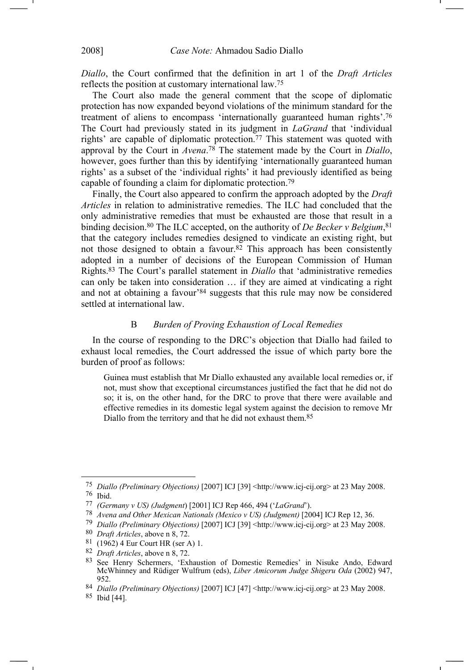*Diallo*, the Court confirmed that the definition in art 1 of the *Draft Articles*  reflects the position at customary international law.75

The Court also made the general comment that the scope of diplomatic protection has now expanded beyond violations of the minimum standard for the treatment of aliens to encompass 'internationally guaranteed human rights'.76 The Court had previously stated in its judgment in *LaGrand* that 'individual rights' are capable of diplomatic protection.77 This statement was quoted with approval by the Court in *Avena*. 78 The statement made by the Court in *Diallo*, however, goes further than this by identifying 'internationally guaranteed human rights' as a subset of the 'individual rights' it had previously identified as being capable of founding a claim for diplomatic protection.79

Finally, the Court also appeared to confirm the approach adopted by the *Draft Articles* in relation to administrative remedies. The ILC had concluded that the only administrative remedies that must be exhausted are those that result in a binding decision.<sup>80</sup> The ILC accepted, on the authority of *De Becker v Belgium*,<sup>81</sup> that the category includes remedies designed to vindicate an existing right, but not those designed to obtain a favour.82 This approach has been consistently adopted in a number of decisions of the European Commission of Human Rights.83 The Court's parallel statement in *Diallo* that 'administrative remedies can only be taken into consideration … if they are aimed at vindicating a right and not at obtaining a favour'84 suggests that this rule may now be considered settled at international law.

## B *Burden of Proving Exhaustion of Local Remedies*

In the course of responding to the DRC's objection that Diallo had failed to exhaust local remedies, the Court addressed the issue of which party bore the burden of proof as follows:

Guinea must establish that Mr Diallo exhausted any available local remedies or, if not, must show that exceptional circumstances justified the fact that he did not do so; it is, on the other hand, for the DRC to prove that there were available and effective remedies in its domestic legal system against the decision to remove Mr Diallo from the territory and that he did not exhaust them.<sup>85</sup>

<sup>75</sup> *Diallo (Preliminary Objections)* [2007] ICJ [39] <http://www.icj-cij.org> at 23 May 2008. 76 Ibid.

<sup>77</sup> *(Germany v US) (Judgment*) [2001] ICJ Rep 466, 494 ('*LaGrand*').

<sup>78</sup> *Avena and Other Mexican Nationals (Mexico v US) (Judgment)* [2004] ICJ Rep 12, 36.

<sup>79</sup> *Diallo (Preliminary Objections)* [2007] ICJ [39] <http://www.icj-cij.org> at 23 May 2008.

<sup>80</sup> *Draft Articles*, above n 8, 72.

<sup>81 (1962) 4</sup> Eur Court HR (ser A) 1.

<sup>82</sup> *Draft Articles*, above n 8, 72.

<sup>83</sup> See Henry Schermers, 'Exhaustion of Domestic Remedies' in Nisuke Ando, Edward McWhinney and Rüdiger Wulfrum (eds), *Liber Amicorum Judge Shigeru Oda* (2002) 947, 952.

<sup>84</sup> *Diallo (Preliminary Objections)* [2007] ICJ [47] <http://www.icj-cij.org> at 23 May 2008.

<sup>85</sup> Ibid [44].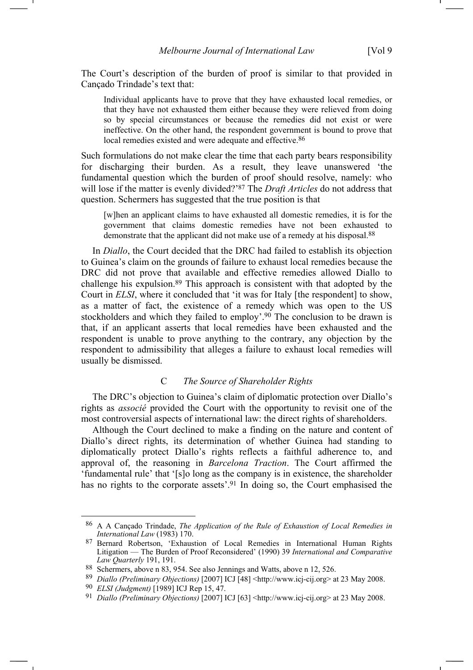The Court's description of the burden of proof is similar to that provided in Cançado Trindade's text that:

Individual applicants have to prove that they have exhausted local remedies, or that they have not exhausted them either because they were relieved from doing so by special circumstances or because the remedies did not exist or were ineffective. On the other hand, the respondent government is bound to prove that local remedies existed and were adequate and effective.<sup>86</sup>

Such formulations do not make clear the time that each party bears responsibility for discharging their burden. As a result, they leave unanswered 'the fundamental question which the burden of proof should resolve, namely: who will lose if the matter is evenly divided?'87 The *Draft Articles* do not address that question. Schermers has suggested that the true position is that

[w]hen an applicant claims to have exhausted all domestic remedies, it is for the government that claims domestic remedies have not been exhausted to demonstrate that the applicant did not make use of a remedy at his disposal.<sup>88</sup>

In *Diallo*, the Court decided that the DRC had failed to establish its objection to Guinea's claim on the grounds of failure to exhaust local remedies because the DRC did not prove that available and effective remedies allowed Diallo to challenge his expulsion.89 This approach is consistent with that adopted by the Court in *ELSI*, where it concluded that 'it was for Italy [the respondent] to show, as a matter of fact, the existence of a remedy which was open to the US stockholders and which they failed to employ'.<sup>90</sup> The conclusion to be drawn is that, if an applicant asserts that local remedies have been exhausted and the respondent is unable to prove anything to the contrary, any objection by the respondent to admissibility that alleges a failure to exhaust local remedies will usually be dismissed.

## C *The Source of Shareholder Rights*

The DRC's objection to Guinea's claim of diplomatic protection over Diallo's rights as *associé* provided the Court with the opportunity to revisit one of the most controversial aspects of international law: the direct rights of shareholders.

Although the Court declined to make a finding on the nature and content of Diallo's direct rights, its determination of whether Guinea had standing to diplomatically protect Diallo's rights reflects a faithful adherence to, and approval of, the reasoning in *Barcelona Traction*. The Court affirmed the 'fundamental rule' that '[s]o long as the company is in existence, the shareholder has no rights to the corporate assets'.<sup>91</sup> In doing so, the Court emphasised the

<sup>86</sup> A A Cançado Trindade, *The Application of the Rule of Exhaustion of Local Remedies in International Law* (1983) 170.

<sup>87</sup> Bernard Robertson, 'Exhaustion of Local Remedies in International Human Rights Litigation — The Burden of Proof Reconsidered' (1990) 39 *International and Comparative Law Quarterly* 191, 191.

<sup>88</sup> Schermers, above n 83, 954. See also Jennings and Watts, above n 12, 526.

<sup>89</sup> *Diallo (Preliminary Objections)* [2007] ICJ [48] <http://www.icj-cij.org> at 23 May 2008.

<sup>90</sup> *ELSI (Judgment)* [1989] ICJ Rep 15, 47.

<sup>91</sup> *Diallo (Preliminary Objections)* [2007] ICJ [63] <http://www.icj-cij.org> at 23 May 2008.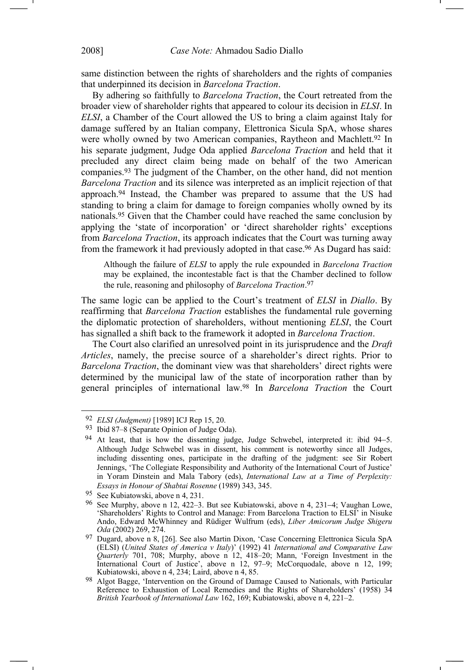same distinction between the rights of shareholders and the rights of companies that underpinned its decision in *Barcelona Traction*.

By adhering so faithfully to *Barcelona Traction*, the Court retreated from the broader view of shareholder rights that appeared to colour its decision in *ELSI*. In *ELSI*, a Chamber of the Court allowed the US to bring a claim against Italy for damage suffered by an Italian company, Elettronica Sicula SpA, whose shares were wholly owned by two American companies, Raytheon and Machlett.<sup>92</sup> In his separate judgment, Judge Oda applied *Barcelona Traction* and held that it precluded any direct claim being made on behalf of the two American companies.93 The judgment of the Chamber, on the other hand, did not mention *Barcelona Traction* and its silence was interpreted as an implicit rejection of that approach.94 Instead, the Chamber was prepared to assume that the US had standing to bring a claim for damage to foreign companies wholly owned by its nationals.95 Given that the Chamber could have reached the same conclusion by applying the 'state of incorporation' or 'direct shareholder rights' exceptions from *Barcelona Traction*, its approach indicates that the Court was turning away from the framework it had previously adopted in that case.96 As Dugard has said:

Although the failure of *ELSI* to apply the rule expounded in *Barcelona Traction* may be explained, the incontestable fact is that the Chamber declined to follow the rule, reasoning and philosophy of *Barcelona Traction*. 97

The same logic can be applied to the Court's treatment of *ELSI* in *Diallo*. By reaffirming that *Barcelona Traction* establishes the fundamental rule governing the diplomatic protection of shareholders, without mentioning *ELSI*, the Court has signalled a shift back to the framework it adopted in *Barcelona Traction*.

The Court also clarified an unresolved point in its jurisprudence and the *Draft Articles*, namely, the precise source of a shareholder's direct rights. Prior to *Barcelona Traction*, the dominant view was that shareholders' direct rights were determined by the municipal law of the state of incorporation rather than by general principles of international law.98 In *Barcelona Traction* the Court

<sup>92</sup> *ELSI (Judgment)* [1989] ICJ Rep 15, 20.

<sup>93</sup> Ibid 87–8 (Separate Opinion of Judge Oda).

<sup>94</sup> At least, that is how the dissenting judge, Judge Schwebel, interpreted it: ibid 94–5. Although Judge Schwebel was in dissent, his comment is noteworthy since all Judges, including dissenting ones, participate in the drafting of the judgment: see Sir Robert Jennings, 'The Collegiate Responsibility and Authority of the International Court of Justice' in Yoram Dinstein and Mala Tabory (eds), *International Law at a Time of Perplexity: Essays in Honour of Shabtai Rosenne* (1989) 343, 345.

<sup>95</sup> See Kubiatowski, above n 4, 231.

<sup>96</sup> See Murphy, above n 12, 422–3. But see Kubiatowski, above n 4, 231−4; Vaughan Lowe, 'Shareholders' Rights to Control and Manage: From Barcelona Traction to ELSI' in Nisuke Ando, Edward McWhinney and Rüdiger Wulfrum (eds), *Liber Amicorum Judge Shigeru Oda* (2002) 269, 274.

<sup>97</sup> Dugard, above n 8, [26]. See also Martin Dixon, 'Case Concerning Elettronica Sicula SpA (ELSI) (*United States of America v Italy*)' (1992) 41 *International and Comparative Law Quarterly* 701, 708; Murphy, above n 12, 418–20; Mann, 'Foreign Investment in the International Court of Justice', above n 12, 97–9; McCorquodale, above n 12, 199; Kubiatowski, above n 4, 234; Laird, above n 4, 85.

<sup>98</sup> Algot Bagge, 'Intervention on the Ground of Damage Caused to Nationals, with Particular Reference to Exhaustion of Local Remedies and the Rights of Shareholders' (1958) 34 *British Yearbook of International Law* 162, 169; Kubiatowski, above n 4, 221–2.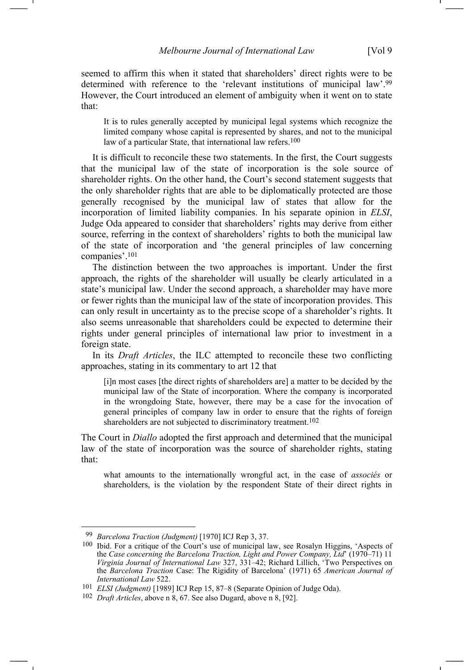seemed to affirm this when it stated that shareholders' direct rights were to be determined with reference to the 'relevant institutions of municipal law'.99 However, the Court introduced an element of ambiguity when it went on to state that:

It is to rules generally accepted by municipal legal systems which recognize the limited company whose capital is represented by shares, and not to the municipal law of a particular State, that international law refers.<sup>100</sup>

It is difficult to reconcile these two statements. In the first, the Court suggests that the municipal law of the state of incorporation is the sole source of shareholder rights. On the other hand, the Court's second statement suggests that the only shareholder rights that are able to be diplomatically protected are those generally recognised by the municipal law of states that allow for the incorporation of limited liability companies. In his separate opinion in *ELSI*, Judge Oda appeared to consider that shareholders' rights may derive from either source, referring in the context of shareholders' rights to both the municipal law of the state of incorporation and 'the general principles of law concerning companies'.101

The distinction between the two approaches is important. Under the first approach, the rights of the shareholder will usually be clearly articulated in a state's municipal law. Under the second approach, a shareholder may have more or fewer rights than the municipal law of the state of incorporation provides. This can only result in uncertainty as to the precise scope of a shareholder's rights. It also seems unreasonable that shareholders could be expected to determine their rights under general principles of international law prior to investment in a foreign state.

In its *Draft Articles*, the ILC attempted to reconcile these two conflicting approaches, stating in its commentary to art 12 that

[i]n most cases [the direct rights of shareholders are] a matter to be decided by the municipal law of the State of incorporation. Where the company is incorporated in the wrongdoing State, however, there may be a case for the invocation of general principles of company law in order to ensure that the rights of foreign shareholders are not subjected to discriminatory treatment.<sup>102</sup>

The Court in *Diallo* adopted the first approach and determined that the municipal law of the state of incorporation was the source of shareholder rights, stating that:

what amounts to the internationally wrongful act, in the case of *associés* or shareholders, is the violation by the respondent State of their direct rights in

<sup>99</sup> *Barcelona Traction (Judgment)* [1970] ICJ Rep 3, 37.

<sup>100</sup> Ibid. For a critique of the Court's use of municipal law, see Rosalyn Higgins, 'Aspects of the *Case concerning the Barcelona Traction, Light and Power Company, Ltd*' (1970–71) 11 *Virginia Journal of International Law* 327, 331–42; Richard Lillich, 'Two Perspectives on the *Barcelona Traction* Case: The Rigidity of Barcelona' (1971) 65 *American Journal of International Law* 522.

<sup>101</sup> *ELSI (Judgment)* [1989] ICJ Rep 15, 87–8 (Separate Opinion of Judge Oda).

<sup>102</sup> *Draft Articles*, above n 8, 67. See also Dugard, above n 8, [92].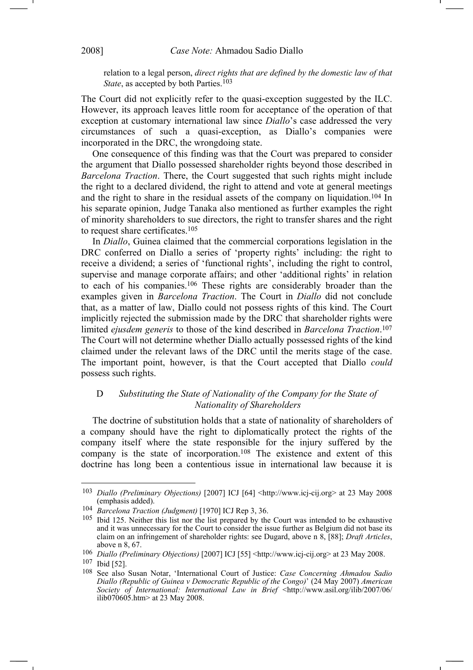relation to a legal person, *direct rights that are defined by the domestic law of that State*, as accepted by both Parties.<sup>103</sup>

The Court did not explicitly refer to the quasi-exception suggested by the ILC. However, its approach leaves little room for acceptance of the operation of that exception at customary international law since *Diallo*'s case addressed the very circumstances of such a quasi-exception, as Diallo's companies were incorporated in the DRC, the wrongdoing state.

One consequence of this finding was that the Court was prepared to consider the argument that Diallo possessed shareholder rights beyond those described in *Barcelona Traction*. There, the Court suggested that such rights might include the right to a declared dividend, the right to attend and vote at general meetings and the right to share in the residual assets of the company on liquidation.104 In his separate opinion, Judge Tanaka also mentioned as further examples the right of minority shareholders to sue directors, the right to transfer shares and the right to request share certificates.105

In *Diallo*, Guinea claimed that the commercial corporations legislation in the DRC conferred on Diallo a series of 'property rights' including: the right to receive a dividend; a series of 'functional rights', including the right to control, supervise and manage corporate affairs; and other 'additional rights' in relation to each of his companies.106 These rights are considerably broader than the examples given in *Barcelona Traction*. The Court in *Diallo* did not conclude that, as a matter of law, Diallo could not possess rights of this kind. The Court implicitly rejected the submission made by the DRC that shareholder rights were limited *ejusdem generis* to those of the kind described in *Barcelona Traction*. 107 The Court will not determine whether Diallo actually possessed rights of the kind claimed under the relevant laws of the DRC until the merits stage of the case. The important point, however, is that the Court accepted that Diallo *could* possess such rights.

# D *Substituting the State of Nationality of the Company for the State of Nationality of Shareholders*

The doctrine of substitution holds that a state of nationality of shareholders of a company should have the right to diplomatically protect the rights of the company itself where the state responsible for the injury suffered by the company is the state of incorporation.<sup>108</sup> The existence and extent of this doctrine has long been a contentious issue in international law because it is

<sup>103</sup> *Diallo (Preliminary Objections)* [2007] ICJ [64] <http://www.icj-cij.org> at 23 May 2008 (emphasis added).

<sup>104</sup> *Barcelona Traction (Judgment)* [1970] ICJ Rep 3, 36.

<sup>105</sup> Ibid 125. Neither this list nor the list prepared by the Court was intended to be exhaustive and it was unnecessary for the Court to consider the issue further as Belgium did not base its claim on an infringement of shareholder rights: see Dugard, above n 8, [88]; *Draft Articles*, above n 8, 67.

<sup>106</sup> *Diallo (Preliminary Objections)* [2007] ICJ [55] <http://www.icj-cij.org> at 23 May 2008.

<sup>107</sup> Ibid [52].

<sup>108</sup> See also Susan Notar, 'International Court of Justice: *Case Concerning Ahmadou Sadio Diallo (Republic of Guinea v Democratic Republic of the Congo)*' (24 May 2007) *American Society of International: International Law in Brief* <http://www.asil.org/ilib/2007/06/ ilib070605.htm> at 23 May 2008.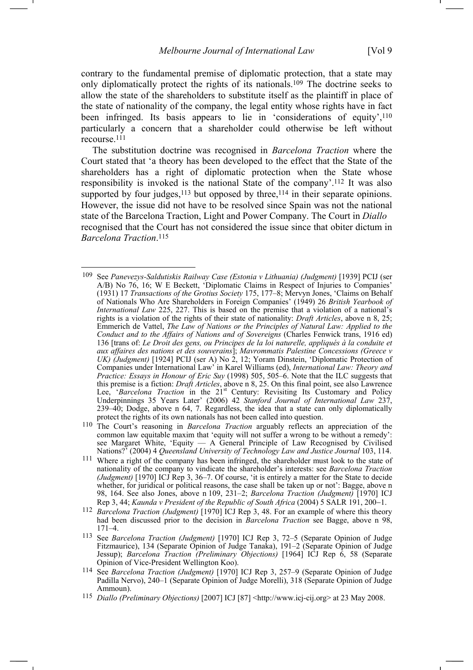contrary to the fundamental premise of diplomatic protection, that a state may only diplomatically protect the rights of its nationals.109 The doctrine seeks to allow the state of the shareholders to substitute itself as the plaintiff in place of the state of nationality of the company, the legal entity whose rights have in fact been infringed. Its basis appears to lie in 'considerations of equity',<sup>110</sup> particularly a concern that a shareholder could otherwise be left without recourse.111

The substitution doctrine was recognised in *Barcelona Traction* where the Court stated that 'a theory has been developed to the effect that the State of the shareholders has a right of diplomatic protection when the State whose responsibility is invoked is the national State of the company'.112 It was also supported by four judges, $113$  but opposed by three, $114$  in their separate opinions. However, the issue did not have to be resolved since Spain was not the national state of the Barcelona Traction, Light and Power Company. The Court in *Diallo* recognised that the Court has not considered the issue since that obiter dictum in *Barcelona Traction*. 115

<sup>109</sup> See *Panevezys-Saldutiskis Railway Case (Estonia v Lithuania) (Judgment)* [1939] PCIJ (ser A/B) No 76, 16; W E Beckett, 'Diplomatic Claims in Respect of Injuries to Companies' (1931) 17 *Transactions of the Grotius Society* 175, 177–8; Mervyn Jones, 'Claims on Behalf of Nationals Who Are Shareholders in Foreign Companies' (1949) 26 *British Yearbook of International Law* 225, 227. This is based on the premise that a violation of a national's rights is a violation of the rights of their state of nationality: *Draft Articles*, above n 8, 25; Emmerich de Vattel, *The Law of Nations or the Principles of Natural Law: Applied to the Conduct and to the Affairs of Nations and of Sovereigns* (Charles Fenwick trans, 1916 ed) 136 [trans of: *Le Droit des gens, ou Principes de la loi naturelle, appliqués à la conduite et aux affaires des nations et des souverains*]; *Mavrommatis Palestine Concessions (Greece v UK) (Judgment)* [1924] PCIJ (ser A) No 2, 12; Yoram Dinstein, 'Diplomatic Protection of Companies under International Law' in Karel Williams (ed), *International Law: Theory and Practice: Essays in Honour of Eric Suy* (1998) 505, 505–6. Note that the ILC suggests that this premise is a fiction: *Draft Articles*, above n 8, 25. On this final point, see also Lawrence Lee, '*Barcelona Traction* in the 21<sup>st</sup> Century: Revisiting Its Customary and Policy Underpinnings 35 Years Later' (2006) 42 *Stanford Journal of International Law* 237, 239–40; Dodge, above n 64, 7. Regardless, the idea that a state can only diplomatically protect the rights of its own nationals has not been called into question.

<sup>110</sup> The Court's reasoning in *Barcelona Traction* arguably reflects an appreciation of the common law equitable maxim that 'equity will not suffer a wrong to be without a remedy': see Margaret White, 'Equity — A General Principle of Law Recognised by Civilised Nations?' (2004) 4 *Queensland University of Technology Law and Justice Journal* 103, 114.

<sup>111</sup> Where a right of the company has been infringed, the shareholder must look to the state of nationality of the company to vindicate the shareholder's interests: see *Barcelona Traction (Judgment)* [1970] ICJ Rep 3, 36–7. Of course, 'it is entirely a matter for the State to decide whether, for juridical or political reasons, the case shall be taken up or not': Bagge, above n 98, 164. See also Jones, above n 109, 231–2; *Barcelona Traction (Judgment)* [1970] ICJ Rep 3, 44; *Kaunda v President of the Republic of South Africa* (2004) 5 SALR 191, 200−1.

<sup>112</sup> *Barcelona Traction (Judgment)* [1970] ICJ Rep 3, 48. For an example of where this theory had been discussed prior to the decision in *Barcelona Traction* see Bagge, above n 98, 171–4.

<sup>113</sup> See *Barcelona Traction (Judgment)* [1970] ICJ Rep 3, 72–5 (Separate Opinion of Judge Fitzmaurice), 134 (Separate Opinion of Judge Tanaka), 191–2 (Separate Opinion of Judge Jessup); *Barcelona Traction (Preliminary Objections)* [1964] ICJ Rep 6, 58 (Separate Opinion of Vice-President Wellington Koo).

<sup>114</sup> See *Barcelona Traction (Judgment)* [1970] ICJ Rep 3, 257–9 (Separate Opinion of Judge Padilla Nervo), 240–1 (Separate Opinion of Judge Morelli), 318 (Separate Opinion of Judge Ammoun).

<sup>115</sup> *Diallo (Preliminary Objections)* [2007] ICJ [87] <http://www.icj-cij.org> at 23 May 2008.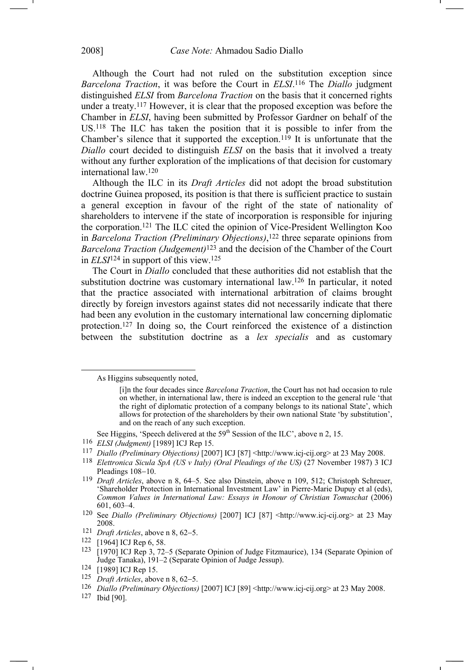Although the Court had not ruled on the substitution exception since *Barcelona Traction*, it was before the Court in *ELSI*.116 The *Diallo* judgment distinguished *ELSI* from *Barcelona Traction* on the basis that it concerned rights under a treaty.117 However, it is clear that the proposed exception was before the Chamber in *ELSI*, having been submitted by Professor Gardner on behalf of the US.118 The ILC has taken the position that it is possible to infer from the Chamber's silence that it supported the exception.119 It is unfortunate that the *Diallo* court decided to distinguish *ELSI* on the basis that it involved a treaty without any further exploration of the implications of that decision for customary international law.120

Although the ILC in its *Draft Articles* did not adopt the broad substitution doctrine Guinea proposed, its position is that there is sufficient practice to sustain a general exception in favour of the right of the state of nationality of shareholders to intervene if the state of incorporation is responsible for injuring the corporation.121 The ILC cited the opinion of Vice-President Wellington Koo in *Barcelona Traction (Preliminary Objections)*,<sup>122</sup> three separate opinions from *Barcelona Traction (Judgement)*123 and the decision of the Chamber of the Court in *ELSI*124 in support of this view.125

The Court in *Diallo* concluded that these authorities did not establish that the substitution doctrine was customary international law.126 In particular, it noted that the practice associated with international arbitration of claims brought directly by foreign investors against states did not necessarily indicate that there had been any evolution in the customary international law concerning diplomatic protection.127 In doing so, the Court reinforced the existence of a distinction between the substitution doctrine as a *lex specialis* and as customary

125 *Draft Articles*, above n 8, 62−5.

127 Ibid [90].

As Higgins subsequently noted,

<sup>[</sup>i]n the four decades since *Barcelona Traction*, the Court has not had occasion to rule on whether, in international law, there is indeed an exception to the general rule 'that the right of diplomatic protection of a company belongs to its national State', which allows for protection of the shareholders by their own national State 'by substitution', and on the reach of any such exception.

See Higgins, 'Speech delivered at the 59<sup>th</sup> Session of the ILC', above n 2, 15.

<sup>116</sup> *ELSI (Judgment)* [1989] ICJ Rep 15.

<sup>117</sup> *Diallo (Preliminary Objections)* [2007] ICJ [87] <http://www.icj-cij.org> at 23 May 2008.

<sup>&</sup>lt;sup>118</sup> *Elettronica Sicula SpA (US v Italy) (Oral Pleadings of the US)* (27 November 1987) 3 ICJ Pleadings 108−10.

<sup>119</sup> *Draft Articles*, above n 8, 64–5. See also Dinstein, above n 109, 512; Christoph Schreuer, 'Shareholder Protection in International Investment Law' in Pierre-Marie Dupuy et al (eds), *Common Values in International Law: Essays in Honour of Christian Tomuschat* (2006) 601, 603–4.

<sup>120</sup> See *Diallo (Preliminary Objections)* [2007] ICJ [87] <http://www.icj-cij.org> at 23 May 2008.

<sup>121</sup> *Draft Articles*, above n 8, 62−5.

<sup>122 [1964]</sup> ICJ Rep 6, 58.

<sup>123 [1970]</sup> ICJ Rep 3, 72–5 (Separate Opinion of Judge Fitzmaurice), 134 (Separate Opinion of Judge Tanaka), 191–2 (Separate Opinion of Judge Jessup).

<sup>124 [1989]</sup> ICJ Rep 15.

<sup>126</sup> *Diallo (Preliminary Objections)* [2007] ICJ [89] <http://www.icj-cij.org> at 23 May 2008.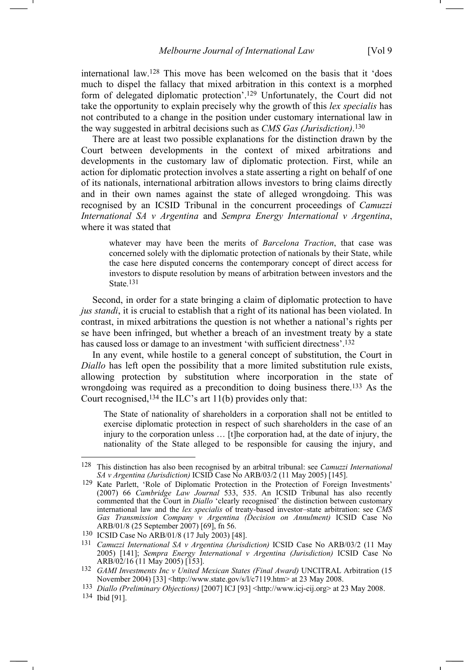international law.128 This move has been welcomed on the basis that it 'does much to dispel the fallacy that mixed arbitration in this context is a morphed form of delegated diplomatic protection'.129 Unfortunately, the Court did not take the opportunity to explain precisely why the growth of this *lex specialis* has not contributed to a change in the position under customary international law in the way suggested in arbitral decisions such as *CMS Gas (Jurisdiction)*.130

There are at least two possible explanations for the distinction drawn by the Court between developments in the context of mixed arbitrations and developments in the customary law of diplomatic protection. First, while an action for diplomatic protection involves a state asserting a right on behalf of one of its nationals, international arbitration allows investors to bring claims directly and in their own names against the state of alleged wrongdoing. This was recognised by an ICSID Tribunal in the concurrent proceedings of *Camuzzi International SA v Argentina* and *Sempra Energy International v Argentina*, where it was stated that

whatever may have been the merits of *Barcelona Traction*, that case was concerned solely with the diplomatic protection of nationals by their State, while the case here disputed concerns the contemporary concept of direct access for investors to dispute resolution by means of arbitration between investors and the State. 131

Second, in order for a state bringing a claim of diplomatic protection to have *jus standi*, it is crucial to establish that a right of its national has been violated. In contrast, in mixed arbitrations the question is not whether a national's rights per se have been infringed, but whether a breach of an investment treaty by a state has caused loss or damage to an investment 'with sufficient directness'.<sup>132</sup>

In any event, while hostile to a general concept of substitution, the Court in *Diallo* has left open the possibility that a more limited substitution rule exists, allowing protection by substitution where incorporation in the state of wrongdoing was required as a precondition to doing business there.<sup>133</sup> As the Court recognised,134 the ILC's art 11(b) provides only that:

The State of nationality of shareholders in a corporation shall not be entitled to exercise diplomatic protection in respect of such shareholders in the case of an injury to the corporation unless … [t]he corporation had, at the date of injury, the nationality of the State alleged to be responsible for causing the injury, and

<sup>128</sup> This distinction has also been recognised by an arbitral tribunal: see *Camuzzi International SA v Argentina (Jurisdiction)* ICSID Case No ARB/03/2 (11 May 2005) [145].

<sup>129</sup> Kate Parlett, 'Role of Diplomatic Protection in the Protection of Foreign Investments' (2007) 66 *Cambridge Law Journal* 533, 535. An ICSID Tribunal has also recently commented that the Court in *Diallo* 'clearly recognised' the distinction between customary international law and the *lex specialis* of treaty-based investor–state arbitration: see *CMS Gas Transmission Company v Argentina (Decision on Annulment)* ICSID Case No ARB/01/8 (25 September 2007) [69], fn 56.

<sup>130</sup> ICSID Case No ARB/01/8 (17 July 2003) [48].

<sup>131</sup> *Camuzzi International SA v Argentina (Jurisdiction)* ICSID Case No ARB/03/2 (11 May 2005) [141]; *Sempra Energy International v Argentina (Jurisdiction)* ICSID Case No  $ARB/02/16(11 \text{ May } 2005)$  [153].

<sup>132</sup> *GAMI Investments Inc v United Mexican States (Final Award)* UNCITRAL Arbitration (15 November 2004) [33] <http://www.state.gov/s/l/c7119.htm> at 23 May 2008.

<sup>133</sup> *Diallo (Preliminary Objections)* [2007] ICJ [93] <http://www.icj-cij.org> at 23 May 2008.

<sup>134</sup> Ibid [91].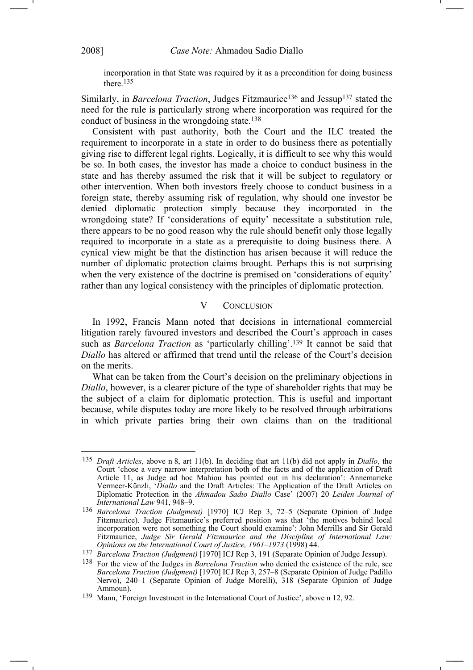incorporation in that State was required by it as a precondition for doing business there.135

Similarly, in *Barcelona Traction*, Judges Fitzmaurice136 and Jessup137 stated the need for the rule is particularly strong where incorporation was required for the conduct of business in the wrongdoing state.138

Consistent with past authority, both the Court and the ILC treated the requirement to incorporate in a state in order to do business there as potentially giving rise to different legal rights. Logically, it is difficult to see why this would be so. In both cases, the investor has made a choice to conduct business in the state and has thereby assumed the risk that it will be subject to regulatory or other intervention. When both investors freely choose to conduct business in a foreign state, thereby assuming risk of regulation, why should one investor be denied diplomatic protection simply because they incorporated in the wrongdoing state? If 'considerations of equity' necessitate a substitution rule, there appears to be no good reason why the rule should benefit only those legally required to incorporate in a state as a prerequisite to doing business there. A cynical view might be that the distinction has arisen because it will reduce the number of diplomatic protection claims brought. Perhaps this is not surprising when the very existence of the doctrine is premised on 'considerations of equity' rather than any logical consistency with the principles of diplomatic protection.

## V CONCLUSION

In 1992, Francis Mann noted that decisions in international commercial litigation rarely favoured investors and described the Court's approach in cases such as *Barcelona Traction* as 'particularly chilling'.139 It cannot be said that *Diallo* has altered or affirmed that trend until the release of the Court's decision on the merits.

What can be taken from the Court's decision on the preliminary objections in *Diallo*, however, is a clearer picture of the type of shareholder rights that may be the subject of a claim for diplomatic protection. This is useful and important because, while disputes today are more likely to be resolved through arbitrations in which private parties bring their own claims than on the traditional

<sup>135</sup> *Draft Articles*, above n 8, art 11(b). In deciding that art 11(b) did not apply in *Diallo*, the Court 'chose a very narrow interpretation both of the facts and of the application of Draft Article 11, as Judge ad hoc Mahiou has pointed out in his declaration': Annemarieke Vermeer-Künzli, '*Diallo* and the Draft Articles: The Application of the Draft Articles on Diplomatic Protection in the *Ahmadou Sadio Diallo* Case' (2007) 20 *Leiden Journal of International Law* 941, 948–9.

<sup>136</sup> *Barcelona Traction (Judgment)* [1970] ICJ Rep 3, 72–5 (Separate Opinion of Judge Fitzmaurice). Judge Fitzmaurice's preferred position was that 'the motives behind local incorporation were not something the Court should examine': John Merrills and Sir Gerald Fitzmaurice, *Judge Sir Gerald Fitzmaurice and the Discipline of International Law: Opinions on the International Court of Justice, 1961–1973* (1998) 44.

<sup>137</sup> *Barcelona Traction (Judgment)* [1970] ICJ Rep 3, 191 (Separate Opinion of Judge Jessup).

<sup>138</sup> For the view of the Judges in *Barcelona Traction* who denied the existence of the rule, see *Barcelona Traction (Judgment)* [1970] ICJ Rep 3, 257–8 (Separate Opinion of Judge Padillo Nervo), 240–1 (Separate Opinion of Judge Morelli), 318 (Separate Opinion of Judge Ammoun).

<sup>139</sup> Mann, 'Foreign Investment in the International Court of Justice', above n 12, 92.